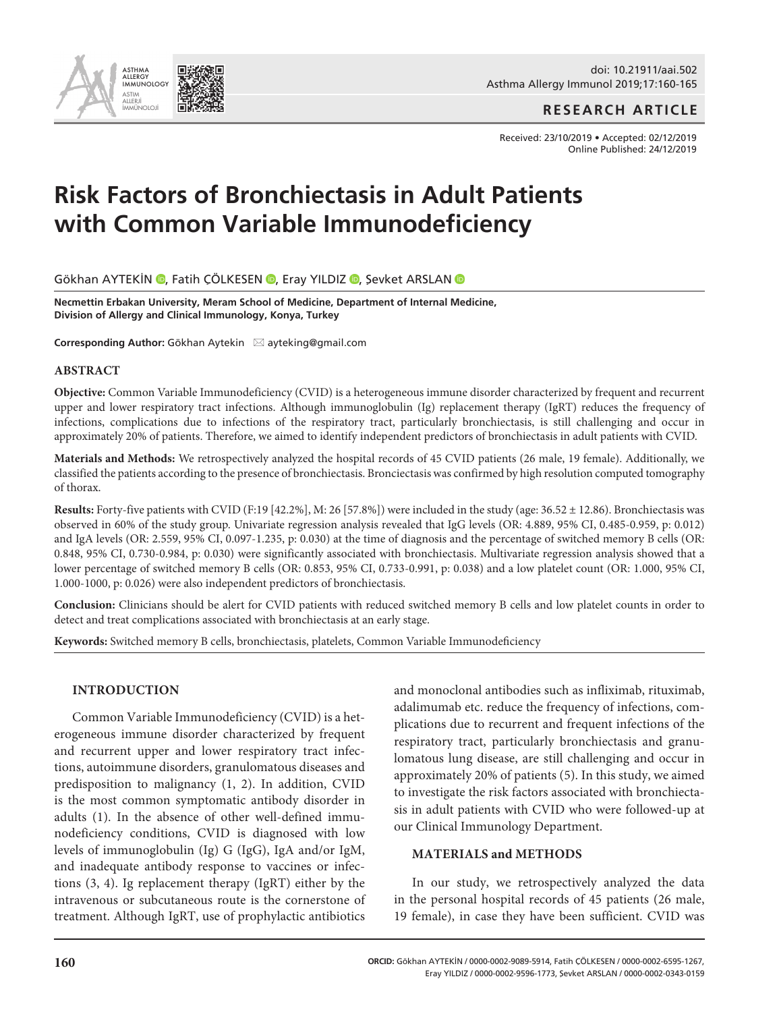doi: 10.21911/aai.502 Asthma Allergy Immunol 2019;17:160-165

**RESEARCH ARTICLE**

Received: 23/10/2019 • Accepted: 02/12/2019 Online Published: 24/12/2019

# **Risk Factors of Bronchiectasis in Adult Patients with Common Variable Immunodeficiency**

GökhanAYTEKİN (D, Fatih ÇÖLKESEN (D, Eray YILDIZ (D, Sevket ARSLAN (D

**Necmettin Erbakan University, Meram School of Medicine, Department of Internal Medicine, Division of Allergy and Clinical Immunology, Konya, Turkey**

**Corresponding Author:** Gökhan Aytekin ⊠ ayteking@gmail.com

#### **ABSTRACT**

**Objective:** Common Variable Immunodeficiency (CVID) is a heterogeneous immune disorder characterized by frequent and recurrent upper and lower respiratory tract infections. Although immunoglobulin (Ig) replacement therapy (IgRT) reduces the frequency of infections, complications due to infections of the respiratory tract, particularly bronchiectasis, is still challenging and occur in approximately 20% of patients. Therefore, we aimed to identify independent predictors of bronchiectasis in adult patients with CVID.

**Materials and Methods:** We retrospectively analyzed the hospital records of 45 CVID patients (26 male, 19 female). Additionally, we classified the patients according to the presence of bronchiectasis. Bronciectasis was confirmed by high resolution computed tomography of thorax.

**Results:** Forty-five patients with CVID (F:19 [42.2%], M: 26 [57.8%]) were included in the study (age: 36.52 ± 12.86). Bronchiectasis was observed in 60% of the study group. Univariate regression analysis revealed that IgG levels (OR: 4.889, 95% CI, 0.485-0.959, p: 0.012) and IgA levels (OR: 2.559, 95% CI, 0.097-1.235, p: 0.030) at the time of diagnosis and the percentage of switched memory B cells (OR: 0.848, 95% CI, 0.730-0.984, p: 0.030) were significantly associated with bronchiectasis. Multivariate regression analysis showed that a lower percentage of switched memory B cells (OR: 0.853, 95% CI, 0.733-0.991, p: 0.038) and a low platelet count (OR: 1.000, 95% CI, 1.000-1000, p: 0.026) were also independent predictors of bronchiectasis.

**Conclusion:** Clinicians should be alert for CVID patients with reduced switched memory B cells and low platelet counts in order to detect and treat complications associated with bronchiectasis at an early stage.

**Keywords:** Switched memory B cells, bronchiectasis, platelets, Common Variable Immunodeficiency

#### **INTRODUCTION**

Common Variable Immunodeficiency (CVID) is a heterogeneous immune disorder characterized by frequent and recurrent upper and lower respiratory tract infections, autoimmune disorders, granulomatous diseases and predisposition to malignancy (1, 2). In addition, CVID is the most common symptomatic antibody disorder in adults (1). In the absence of other well-defined immunodeficiency conditions, CVID is diagnosed with low levels of immunoglobulin (Ig) G (IgG), IgA and/or IgM, and inadequate antibody response to vaccines or infections (3, 4). Ig replacement therapy (IgRT) either by the intravenous or subcutaneous route is the cornerstone of treatment. Although IgRT, use of prophylactic antibiotics and monoclonal antibodies such as infliximab, rituximab, adalimumab etc. reduce the frequency of infections, complications due to recurrent and frequent infections of the respiratory tract, particularly bronchiectasis and granulomatous lung disease, are still challenging and occur in approximately 20% of patients (5). In this study, we aimed to investigate the risk factors associated with bronchiectasis in adult patients with CVID who were followed-up at our Clinical Immunology Department.

#### **MATERIALS and METHODS**

In our study, we retrospectively analyzed the data in the personal hospital records of 45 patients (26 male, 19 female), in case they have been sufficient. CVID was

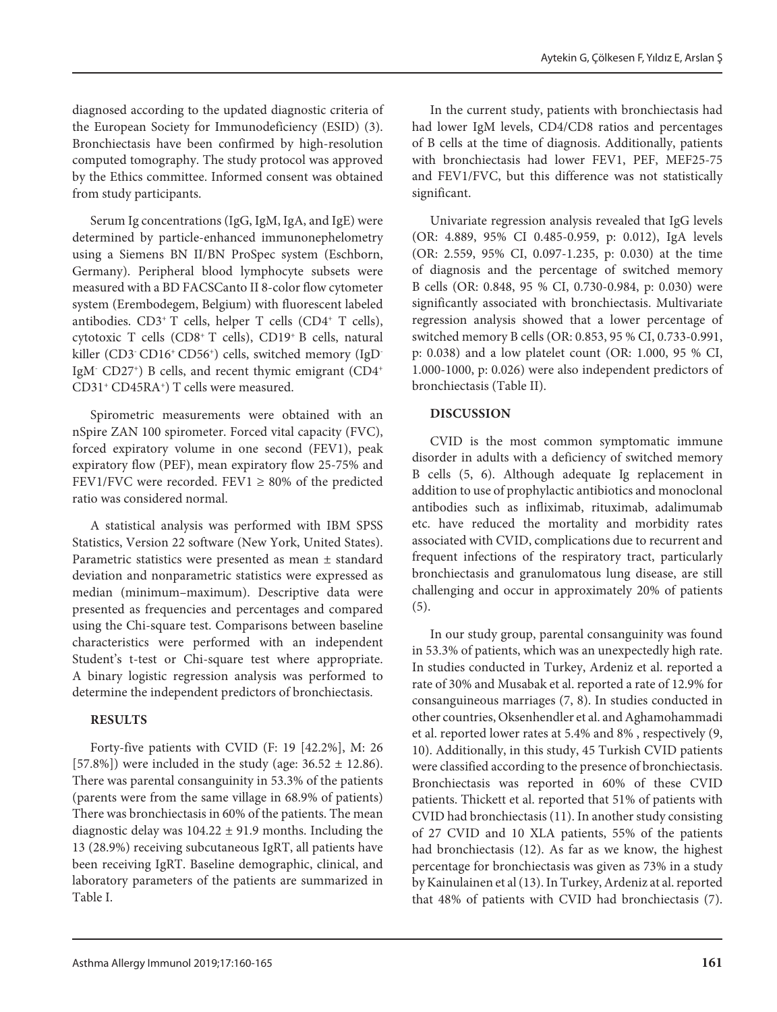diagnosed according to the updated diagnostic criteria of the European Society for Immunodeficiency (ESID) (3). Bronchiectasis have been confirmed by high-resolution computed tomography. The study protocol was approved by the Ethics committee. Informed consent was obtained from study participants.

Serum Ig concentrations (IgG, IgM, IgA, and IgE) were determined by particle-enhanced immunonephelometry using a Siemens BN II/BN ProSpec system (Eschborn, Germany). Peripheral blood lymphocyte subsets were measured with a BD FACSCanto II 8-color flow cytometer system (Erembodegem, Belgium) with fluorescent labeled antibodies.  $CD3+T$  cells, helper T cells ( $CD4+T$  cells), cytotoxic T cells (CD8+ T cells), CD19+ B cells, natural killer (CD3· CD16<sup>+</sup> CD56<sup>+</sup>) cells, switched memory (IgD<sup>-</sup> IgM- CD27+) B cells, and recent thymic emigrant (CD4+ CD31+ CD45RA+) T cells were measured.

Spirometric measurements were obtained with an nSpire ZAN 100 spirometer. Forced vital capacity (FVC), forced expiratory volume in one second (FEV1), peak expiratory flow (PEF), mean expiratory flow 25-75% and FEV1/FVC were recorded. FEV1  $\geq$  80% of the predicted ratio was considered normal.

A statistical analysis was performed with IBM SPSS Statistics, Version 22 software (New York, United States). Parametric statistics were presented as mean ± standard deviation and nonparametric statistics were expressed as median (minimum–maximum). Descriptive data were presented as frequencies and percentages and compared using the Chi-square test. Comparisons between baseline characteristics were performed with an independent Student's t-test or Chi-square test where appropriate. A binary logistic regression analysis was performed to determine the independent predictors of bronchiectasis.

# **RESULTS**

Forty-five patients with CVID (F: 19 [42.2%], M: 26 [57.8%]) were included in the study (age:  $36.52 \pm 12.86$ ). There was parental consanguinity in 53.3% of the patients (parents were from the same village in 68.9% of patients) There was bronchiectasis in 60% of the patients. The mean diagnostic delay was  $104.22 \pm 91.9$  months. Including the 13 (28.9%) receiving subcutaneous IgRT, all patients have been receiving IgRT. Baseline demographic, clinical, and laboratory parameters of the patients are summarized in Table I.

In the current study, patients with bronchiectasis had had lower IgM levels, CD4/CD8 ratios and percentages of B cells at the time of diagnosis. Additionally, patients with bronchiectasis had lower FEV1, PEF, MEF25-75 and FEV1/FVC, but this difference was not statistically significant.

Univariate regression analysis revealed that IgG levels (OR: 4.889, 95% CI 0.485-0.959, p: 0.012), IgA levels (OR: 2.559, 95% CI, 0.097-1.235, p: 0.030) at the time of diagnosis and the percentage of switched memory B cells (OR: 0.848, 95 % CI, 0.730-0.984, p: 0.030) were significantly associated with bronchiectasis. Multivariate regression analysis showed that a lower percentage of switched memory B cells (OR: 0.853, 95 % CI, 0.733-0.991, p: 0.038) and a low platelet count (OR: 1.000, 95 % CI, 1.000-1000, p: 0.026) were also independent predictors of bronchiectasis (Table II).

# **DISCUSSION**

CVID is the most common symptomatic immune disorder in adults with a deficiency of switched memory B cells (5, 6). Although adequate Ig replacement in addition to use of prophylactic antibiotics and monoclonal antibodies such as infliximab, rituximab, adalimumab etc. have reduced the mortality and morbidity rates associated with CVID, complications due to recurrent and frequent infections of the respiratory tract, particularly bronchiectasis and granulomatous lung disease, are still challenging and occur in approximately 20% of patients (5).

In our study group, parental consanguinity was found in 53.3% of patients, which was an unexpectedly high rate. In studies conducted in Turkey, Ardeniz et al. reported a rate of 30% and Musabak et al. reported a rate of 12.9% for consanguineous marriages (7, 8). In studies conducted in other countries, Oksenhendler et al. and Aghamohammadi et al. reported lower rates at 5.4% and 8% , respectively (9, 10). Additionally, in this study, 45 Turkish CVID patients were classified according to the presence of bronchiectasis. Bronchiectasis was reported in 60% of these CVID patients. Thickett et al. reported that 51% of patients with CVID had bronchiectasis (11). In another study consisting of 27 CVID and 10 XLA patients, 55% of the patients had bronchiectasis (12). As far as we know, the highest percentage for bronchiectasis was given as 73% in a study by Kainulainen et al (13). In Turkey, Ardeniz at al. reported that 48% of patients with CVID had bronchiectasis (7).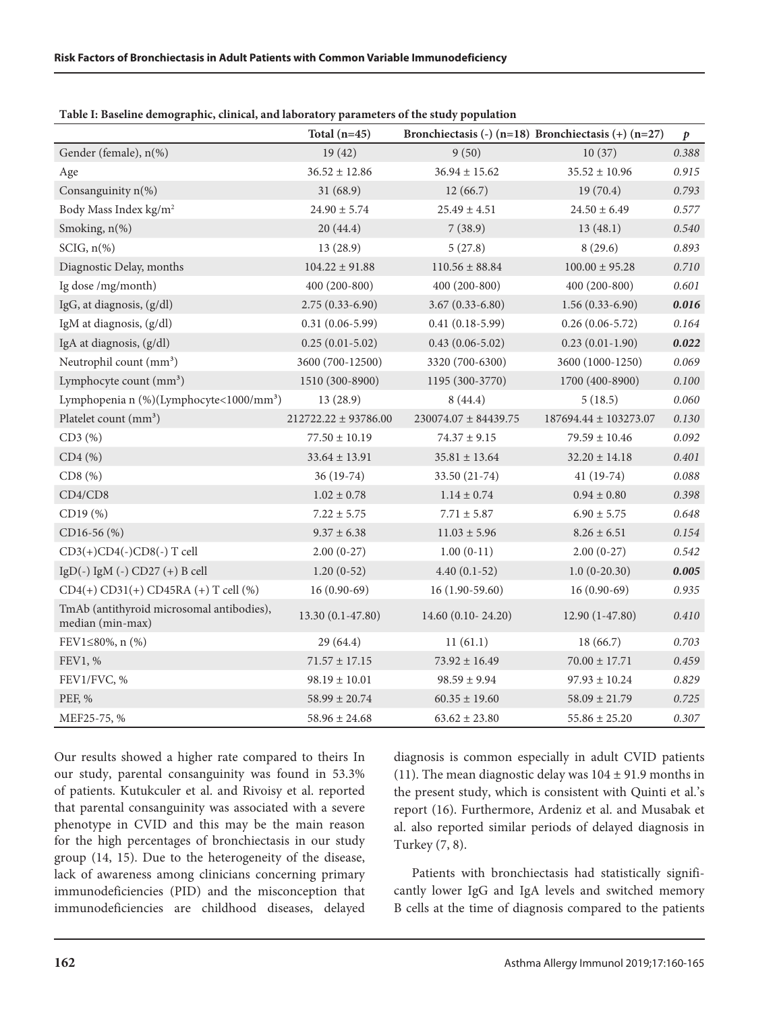|                                                               | Total $(n=45)$           |                          | Bronchiectasis (-) $(n=18)$ Bronchiectasis (+) $(n=27)$ | $\boldsymbol{p}$ |
|---------------------------------------------------------------|--------------------------|--------------------------|---------------------------------------------------------|------------------|
| Gender (female), n(%)                                         | 19(42)                   | 9(50)                    | 10(37)                                                  | $0.388\,$        |
| Age                                                           | $36.52 \pm 12.86$        | $36.94 \pm 15.62$        | $35.52 \pm 10.96$                                       | 0.915            |
| Consanguinity n(%)                                            | 31(68.9)                 | 12(66.7)                 | 19(70.4)                                                | 0.793            |
| Body Mass Index kg/m <sup>2</sup>                             | $24.90 \pm 5.74$         | $25.49 \pm 4.51$         | $24.50 \pm 6.49$                                        | 0.577            |
| Smoking, n(%)                                                 | 20(44.4)                 | 7(38.9)                  | 13(48.1)                                                | 0.540            |
| $SCIG, n$ (%)                                                 | 13(28.9)                 | 5(27.8)                  | 8(29.6)                                                 | 0.893            |
| Diagnostic Delay, months                                      | $104.22 \pm 91.88$       | $110.56 \pm 88.84$       | $100.00 \pm 95.28$                                      | $0.710\,$        |
| Ig dose /mg/month)                                            | 400 (200-800)            | 400 (200-800)            | $400(200-800)$                                          | 0.601            |
| IgG, at diagnosis, (g/dl)                                     | $2.75(0.33 - 6.90)$      | $3.67(0.33 - 6.80)$      | $1.56(0.33-6.90)$                                       | 0.016            |
| IgM at diagnosis, (g/dl)                                      | $0.31(0.06-5.99)$        | $0.41(0.18-5.99)$        | $0.26(0.06-5.72)$                                       | 0.164            |
| IgA at diagnosis, (g/dl)                                      | $0.25(0.01-5.02)$        | $0.43(0.06 - 5.02)$      | $0.23(0.01-1.90)$                                       | 0.022            |
| Neutrophil count (mm <sup>3</sup> )                           | 3600 (700-12500)         | 3320 (700-6300)          | 3600 (1000-1250)                                        | 0.069            |
| Lymphocyte count (mm <sup>3</sup> )                           | 1510 (300-8900)          | 1195 (300-3770)          | 1700 (400-8900)                                         | 0.100            |
| Lymphopenia n (%)(Lymphocyte<1000/mm <sup>3</sup> )           | 13(28.9)                 | 8(44.4)                  | 5(18.5)                                                 | 0.060            |
| Platelet count (mm <sup>3</sup> )                             | $212722.22 \pm 93786.00$ | $230074.07 \pm 84439.75$ | 187694.44 ± 103273.07                                   | 0.130            |
| CD3(%)                                                        | $77.50 \pm 10.19$        | $74.37 \pm 9.15$         | $79.59 \pm 10.46$                                       | 0.092            |
| $CD4$ $(\%)$                                                  | $33.64 \pm 13.91$        | $35.81 \pm 13.64$        | $32.20 \pm 14.18$                                       | 0.401            |
| CD8(%)                                                        | 36 (19-74)               | 33.50 (21-74)            | $41(19-74)$                                             | 0.088            |
| CD4/CD8                                                       | $1.02 \pm 0.78$          | $1.14 \pm 0.74$          | $0.94 \pm 0.80$                                         | 0.398            |
| CD19 (%)                                                      | $7.22 \pm 5.75$          | $7.71 \pm 5.87$          | $6.90 \pm 5.75$                                         | 0.648            |
| CD16-56 (%)                                                   | $9.37 \pm 6.38$          | $11.03 \pm 5.96$         | $8.26 \pm 6.51$                                         | 0.154            |
| CD3(+)CD4(-)CD8(-) T cell                                     | $2.00(0-27)$             | $1.00(0-11)$             | $2.00(0-27)$                                            | 0.542            |
| IgD(-) IgM (-) CD27 (+) B cell                                | $1.20(0-52)$             | $4.40(0.1-52)$           | $1.0(0-20.30)$                                          | 0.005            |
| $CD4(+) CD31(+) CD45RA (+) T cell (%)$                        | $16(0.90-69)$            | 16 (1.90-59.60)          | $16(0.90-69)$                                           | 0.935            |
| TmAb (antithyroid microsomal antibodies),<br>median (min-max) | $13.30(0.1-47.80)$       | $14.60(0.10-24.20)$      | $12.90(1-47.80)$                                        | 0.410            |
| FEV1≤80%, n (%)                                               | 29 (64.4)                | 11(61.1)                 | 18(66.7)                                                | 0.703            |
| FEV1, %                                                       | $71.57 \pm 17.15$        | $73.92 \pm 16.49$        | $70.00 \pm 17.71$                                       | 0.459            |
| FEV1/FVC, %                                                   | $98.19 \pm 10.01$        | $98.59 \pm 9.94$         | $97.93 \pm 10.24$                                       | 0.829            |
| PEF, %                                                        | $58.99 \pm 20.74$        | $60.35 \pm 19.60$        | $58.09 \pm 21.79$                                       | 0.725            |
| MEF25-75, %                                                   | $58.96 \pm 24.68$        | $63.62 \pm 23.80$        | $55.86 \pm 25.20$                                       | 0.307            |

**Table I: Baseline demographic, clinical, and laboratory parameters of the study population**

Our results showed a higher rate compared to theirs In our study, parental consanguinity was found in 53.3% of patients. Kutukculer et al. and Rivoisy et al. reported that parental consanguinity was associated with a severe phenotype in CVID and this may be the main reason for the high percentages of bronchiectasis in our study group (14, 15). Due to the heterogeneity of the disease, lack of awareness among clinicians concerning primary immunodeficiencies (PID) and the misconception that immunodeficiencies are childhood diseases, delayed diagnosis is common especially in adult CVID patients (11). The mean diagnostic delay was  $104 \pm 91.9$  months in the present study, which is consistent with Quinti et al.'s report (16). Furthermore, Ardeniz et al. and Musabak et al. also reported similar periods of delayed diagnosis in Turkey (7, 8).

Patients with bronchiectasis had statistically significantly lower IgG and IgA levels and switched memory B cells at the time of diagnosis compared to the patients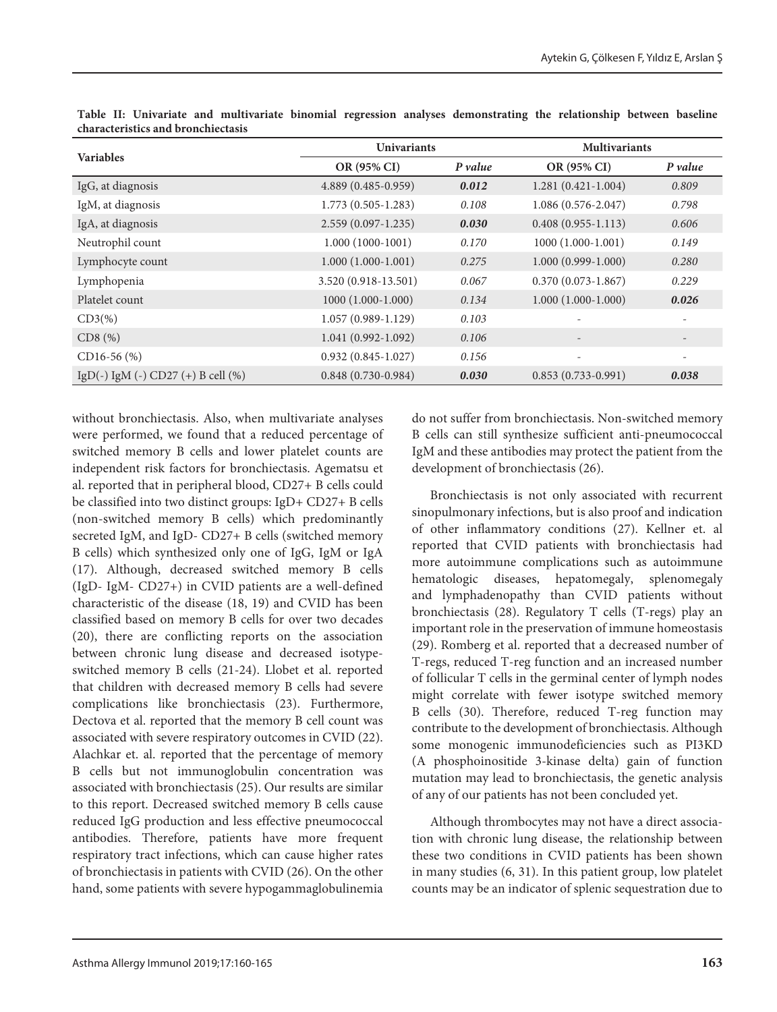| <b>Variables</b>                      | <b>Univariants</b>     |         | <b>Multivariants</b>     |                          |
|---------------------------------------|------------------------|---------|--------------------------|--------------------------|
|                                       | OR (95% CI)            | P value | OR (95% CI)              | P value                  |
| IgG, at diagnosis                     | 4.889 (0.485-0.959)    | 0.012   | $1.281(0.421-1.004)$     | 0.809                    |
| IgM, at diagnosis                     | $1.773(0.505 - 1.283)$ | 0.108   | $1.086(0.576-2.047)$     | 0.798                    |
| IgA, at diagnosis                     | $2.559(0.097 - 1.235)$ | 0.030   | $0.408(0.955 - 1.113)$   | 0.606                    |
| Neutrophil count                      | $1.000(1000-1001)$     | 0.170   | $1000(1.000-1.001)$      | 0.149                    |
| Lymphocyte count                      | $1.000(1.000-1.001)$   | 0.275   | $1.000(0.999-1.000)$     | 0.280                    |
| Lymphopenia                           | 3.520 (0.918-13.501)   | 0.067   | $0.370(0.073 - 1.867)$   | 0.229                    |
| Platelet count                        | $1000(1.000-1.000)$    | 0.134   | $1.000(1.000-1.000)$     | 0.026                    |
| $CD3(\%)$                             | $1.057(0.989 - 1.129)$ | 0.103   |                          | $\qquad \qquad -$        |
| $CD8$ $(\%)$                          | $1.041(0.992 - 1.092)$ | 0.106   | $\overline{\phantom{a}}$ | $\overline{\phantom{a}}$ |
| $CD16-56$ (%)                         | $0.932(0.845-1.027)$   | 0.156   | $\overline{\phantom{0}}$ | $\qquad \qquad -$        |
| IgD(-) IgM (-) CD27 (+) B cell $(\%)$ | $0.848(0.730-0.984)$   | 0.030   | $0.853(0.733-0.991)$     | 0.038                    |

**Table II: Univariate and multivariate binomial regression analyses demonstrating the relationship between baseline characteristics and bronchiectasis**

without bronchiectasis. Also, when multivariate analyses were performed, we found that a reduced percentage of switched memory B cells and lower platelet counts are independent risk factors for bronchiectasis. Agematsu et al. reported that in peripheral blood, CD27+ B cells could be classified into two distinct groups: IgD+ CD27+ B cells (non-switched memory B cells) which predominantly secreted IgM, and IgD- CD27+ B cells (switched memory B cells) which synthesized only one of IgG, IgM or IgA (17). Although, decreased switched memory B cells (IgD- IgM- CD27+) in CVID patients are a well-defined characteristic of the disease (18, 19) and CVID has been classified based on memory B cells for over two decades (20), there are conflicting reports on the association between chronic lung disease and decreased isotypeswitched memory B cells (21-24). Llobet et al. reported that children with decreased memory B cells had severe complications like bronchiectasis (23). Furthermore, Dectova et al. reported that the memory B cell count was associated with severe respiratory outcomes in CVID (22). Alachkar et. al. reported that the percentage of memory B cells but not immunoglobulin concentration was associated with bronchiectasis (25). Our results are similar to this report. Decreased switched memory B cells cause reduced IgG production and less effective pneumococcal antibodies. Therefore, patients have more frequent respiratory tract infections, which can cause higher rates of bronchiectasis in patients with CVID (26). On the other hand, some patients with severe hypogammaglobulinemia

do not suffer from bronchiectasis. Non-switched memory B cells can still synthesize sufficient anti-pneumococcal IgM and these antibodies may protect the patient from the development of bronchiectasis (26).

Bronchiectasis is not only associated with recurrent sinopulmonary infections, but is also proof and indication of other inflammatory conditions (27). Kellner et. al reported that CVID patients with bronchiectasis had more autoimmune complications such as autoimmune hematologic diseases, hepatomegaly, splenomegaly and lymphadenopathy than CVID patients without bronchiectasis (28). Regulatory T cells (T-regs) play an important role in the preservation of immune homeostasis (29). Romberg et al. reported that a decreased number of T-regs, reduced T-reg function and an increased number of follicular T cells in the germinal center of lymph nodes might correlate with fewer isotype switched memory B cells (30). Therefore, reduced T-reg function may contribute to the development of bronchiectasis. Although some monogenic immunodeficiencies such as PI3KD (A phosphoinositide 3-kinase delta) gain of function mutation may lead to bronchiectasis, the genetic analysis of any of our patients has not been concluded yet.

Although thrombocytes may not have a direct association with chronic lung disease, the relationship between these two conditions in CVID patients has been shown in many studies (6, 31). In this patient group, low platelet counts may be an indicator of splenic sequestration due to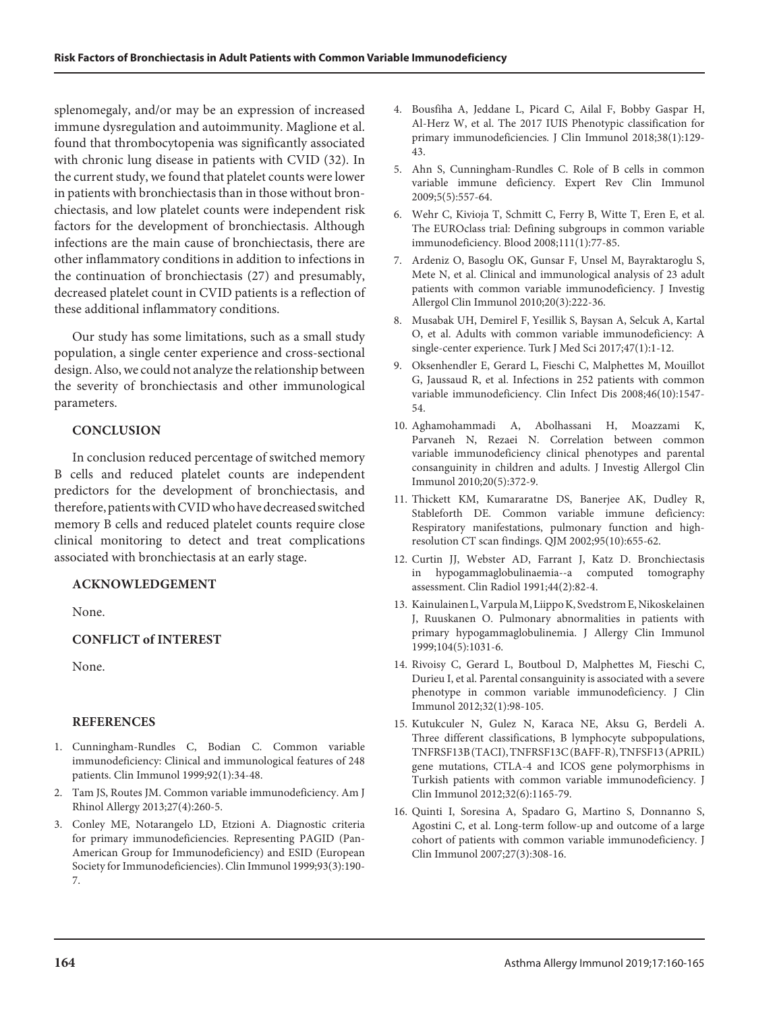splenomegaly, and/or may be an expression of increased immune dysregulation and autoimmunity. Maglione et al. found that thrombocytopenia was significantly associated with chronic lung disease in patients with CVID (32). In the current study, we found that platelet counts were lower in patients with bronchiectasis than in those without bronchiectasis, and low platelet counts were independent risk factors for the development of bronchiectasis. Although infections are the main cause of bronchiectasis, there are other inflammatory conditions in addition to infections in the continuation of bronchiectasis (27) and presumably, decreased platelet count in CVID patients is a reflection of these additional inflammatory conditions.

Our study has some limitations, such as a small study population, a single center experience and cross-sectional design. Also, we could not analyze the relationship between the severity of bronchiectasis and other immunological parameters.

## **CONCLUSION**

In conclusion reduced percentage of switched memory B cells and reduced platelet counts are independent predictors for the development of bronchiectasis, and therefore, patients with CVID who have decreased switched memory B cells and reduced platelet counts require close clinical monitoring to detect and treat complications associated with bronchiectasis at an early stage.

## **ACKNOWLEDGEMENT**

None.

## **CONFLICT of INTEREST**

None.

## **REFERENCES**

- 1. Cunningham-Rundles C, Bodian C. Common variable immunodeficiency: Clinical and immunological features of 248 patients. Clin Immunol 1999;92(1):34-48.
- 2. Tam JS, Routes JM. Common variable immunodeficiency. Am J Rhinol Allergy 2013;27(4):260-5.
- 3. Conley ME, Notarangelo LD, Etzioni A. Diagnostic criteria for primary immunodeficiencies. Representing PAGID (Pan-American Group for Immunodeficiency) and ESID (European Society for Immunodeficiencies). Clin Immunol 1999;93(3):190- 7.
- 4. Bousfiha A, Jeddane L, Picard C, Ailal F, Bobby Gaspar H, Al-Herz W, et al. The 2017 IUIS Phenotypic classification for primary immunodeficiencies. J Clin Immunol 2018;38(1):129- 43.
- 5. Ahn S, Cunningham-Rundles C. Role of B cells in common variable immune deficiency. Expert Rev Clin Immunol 2009;5(5):557-64.
- 6. Wehr C, Kivioja T, Schmitt C, Ferry B, Witte T, Eren E, et al. The EUROclass trial: Defining subgroups in common variable immunodeficiency. Blood 2008;111(1):77-85.
- 7. Ardeniz O, Basoglu OK, Gunsar F, Unsel M, Bayraktaroglu S, Mete N, et al. Clinical and immunological analysis of 23 adult patients with common variable immunodeficiency. J Investig Allergol Clin Immunol 2010;20(3):222-36.
- 8. Musabak UH, Demirel F, Yesillik S, Baysan A, Selcuk A, Kartal O, et al. Adults with common variable immunodeficiency: A single-center experience. Turk J Med Sci 2017;47(1):1-12.
- 9. Oksenhendler E, Gerard L, Fieschi C, Malphettes M, Mouillot G, Jaussaud R, et al. Infections in 252 patients with common variable immunodeficiency. Clin Infect Dis 2008;46(10):1547- 54.
- 10. Aghamohammadi A, Abolhassani H, Moazzami K, Parvaneh N, Rezaei N. Correlation between common variable immunodeficiency clinical phenotypes and parental consanguinity in children and adults. J Investig Allergol Clin Immunol 2010;20(5):372-9.
- 11. Thickett KM, Kumararatne DS, Banerjee AK, Dudley R, Stableforth DE. Common variable immune deficiency: Respiratory manifestations, pulmonary function and highresolution CT scan findings. QJM 2002;95(10):655-62.
- 12. Curtin JJ, Webster AD, Farrant J, Katz D. Bronchiectasis in hypogammaglobulinaemia--a computed tomography assessment. Clin Radiol 1991;44(2):82-4.
- 13. Kainulainen L, Varpula M, Liippo K, Svedstrom E, Nikoskelainen J, Ruuskanen O. Pulmonary abnormalities in patients with primary hypogammaglobulinemia. J Allergy Clin Immunol 1999;104(5):1031-6.
- 14. Rivoisy C, Gerard L, Boutboul D, Malphettes M, Fieschi C, Durieu I, et al. Parental consanguinity is associated with a severe phenotype in common variable immunodeficiency. J Clin Immunol 2012;32(1):98-105.
- 15. Kutukculer N, Gulez N, Karaca NE, Aksu G, Berdeli A. Three different classifications, B lymphocyte subpopulations, TNFRSF13B (TACI), TNFRSF13C (BAFF-R), TNFSF13 (APRIL) gene mutations, CTLA-4 and ICOS gene polymorphisms in Turkish patients with common variable immunodeficiency. J Clin Immunol 2012;32(6):1165-79.
- 16. Quinti I, Soresina A, Spadaro G, Martino S, Donnanno S, Agostini C, et al. Long-term follow-up and outcome of a large cohort of patients with common variable immunodeficiency. J Clin Immunol 2007;27(3):308-16.